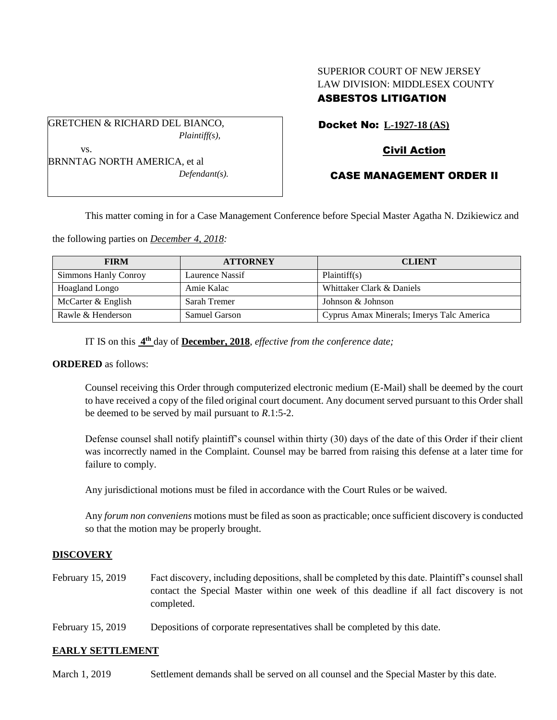## SUPERIOR COURT OF NEW JERSEY LAW DIVISION: MIDDLESEX COUNTY ASBESTOS LITIGATION

Docket No: **L-1927-18 (AS)**

GRETCHEN & RICHARD DEL BIANCO,

*Plaintiff(s),*

# Civil Action

CASE MANAGEMENT ORDER II

vs. BRNNTAG NORTH AMERICA, et al *Defendant(s).*

This matter coming in for a Case Management Conference before Special Master Agatha N. Dzikiewicz and

the following parties on *December 4, 2018:*

| <b>FIRM</b>          | <b>ATTORNEY</b>      | <b>CLIENT</b>                             |
|----------------------|----------------------|-------------------------------------------|
| Simmons Hanly Conroy | Laurence Nassif      | Plaintiff(s)                              |
| Hoagland Longo       | Amie Kalac           | Whittaker Clark & Daniels                 |
| McCarter & English   | Sarah Tremer         | Johnson & Johnson                         |
| Rawle & Henderson    | <b>Samuel Garson</b> | Cyprus Amax Minerals; Imerys Talc America |

IT IS on this **4 th** day of **December, 2018**, *effective from the conference date;*

#### **ORDERED** as follows:

Counsel receiving this Order through computerized electronic medium (E-Mail) shall be deemed by the court to have received a copy of the filed original court document. Any document served pursuant to this Order shall be deemed to be served by mail pursuant to *R*.1:5-2.

Defense counsel shall notify plaintiff's counsel within thirty (30) days of the date of this Order if their client was incorrectly named in the Complaint. Counsel may be barred from raising this defense at a later time for failure to comply.

Any jurisdictional motions must be filed in accordance with the Court Rules or be waived.

Any *forum non conveniens* motions must be filed as soon as practicable; once sufficient discovery is conducted so that the motion may be properly brought.

## **DISCOVERY**

- February 15, 2019 Fact discovery, including depositions, shall be completed by this date. Plaintiff's counsel shall contact the Special Master within one week of this deadline if all fact discovery is not completed.
- February 15, 2019 Depositions of corporate representatives shall be completed by this date.

## **EARLY SETTLEMENT**

March 1, 2019 Settlement demands shall be served on all counsel and the Special Master by this date.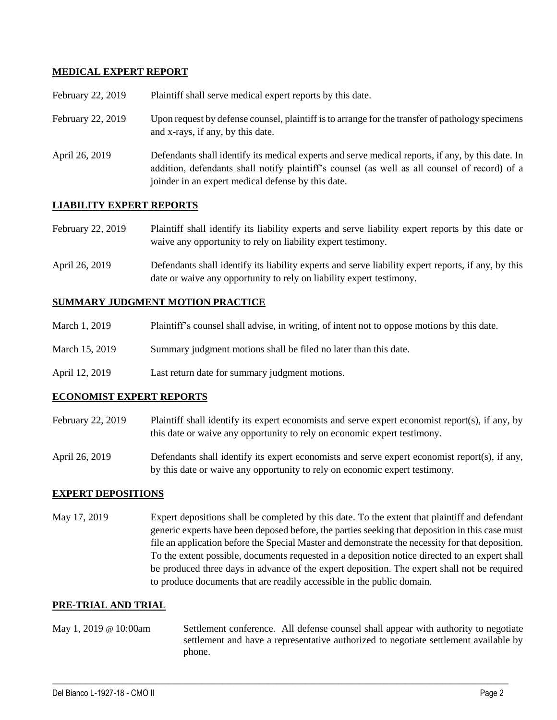#### **MEDICAL EXPERT REPORT**

| February 22, 2019 | Plaintiff shall serve medical expert reports by this date.                                                                                                                                                                                               |
|-------------------|----------------------------------------------------------------------------------------------------------------------------------------------------------------------------------------------------------------------------------------------------------|
| February 22, 2019 | Upon request by defense counsel, plaintiff is to arrange for the transfer of pathology specimens<br>and x-rays, if any, by this date.                                                                                                                    |
| April 26, 2019    | Defendants shall identify its medical experts and serve medical reports, if any, by this date. In<br>addition, defendants shall notify plaintiff's counsel (as well as all counsel of record) of a<br>joinder in an expert medical defense by this date. |

#### **LIABILITY EXPERT REPORTS**

| February 22, 2019 | Plaintiff shall identify its liability experts and serve liability expert reports by this date or |
|-------------------|---------------------------------------------------------------------------------------------------|
|                   | waive any opportunity to rely on liability expert testimony.                                      |

April 26, 2019 Defendants shall identify its liability experts and serve liability expert reports, if any, by this date or waive any opportunity to rely on liability expert testimony.

#### **SUMMARY JUDGMENT MOTION PRACTICE**

| March 1, 2019  | Plaintiff's counsel shall advise, in writing, of intent not to oppose motions by this date. |
|----------------|---------------------------------------------------------------------------------------------|
| March 15, 2019 | Summary judgment motions shall be filed no later than this date.                            |

April 12, 2019 Last return date for summary judgment motions.

#### **ECONOMIST EXPERT REPORTS**

- February 22, 2019 Plaintiff shall identify its expert economists and serve expert economist report(s), if any, by this date or waive any opportunity to rely on economic expert testimony.
- April 26, 2019 Defendants shall identify its expert economists and serve expert economist report(s), if any, by this date or waive any opportunity to rely on economic expert testimony.

#### **EXPERT DEPOSITIONS**

May 17, 2019 Expert depositions shall be completed by this date. To the extent that plaintiff and defendant generic experts have been deposed before, the parties seeking that deposition in this case must file an application before the Special Master and demonstrate the necessity for that deposition. To the extent possible, documents requested in a deposition notice directed to an expert shall be produced three days in advance of the expert deposition. The expert shall not be required to produce documents that are readily accessible in the public domain.

#### **PRE-TRIAL AND TRIAL**

May 1, 2019 @ 10:00am Settlement conference. All defense counsel shall appear with authority to negotiate settlement and have a representative authorized to negotiate settlement available by phone.

 $\_$  ,  $\_$  ,  $\_$  ,  $\_$  ,  $\_$  ,  $\_$  ,  $\_$  ,  $\_$  ,  $\_$  ,  $\_$  ,  $\_$  ,  $\_$  ,  $\_$  ,  $\_$  ,  $\_$  ,  $\_$  ,  $\_$  ,  $\_$  ,  $\_$  ,  $\_$  ,  $\_$  ,  $\_$  ,  $\_$  ,  $\_$  ,  $\_$  ,  $\_$  ,  $\_$  ,  $\_$  ,  $\_$  ,  $\_$  ,  $\_$  ,  $\_$  ,  $\_$  ,  $\_$  ,  $\_$  ,  $\_$  ,  $\_$  ,